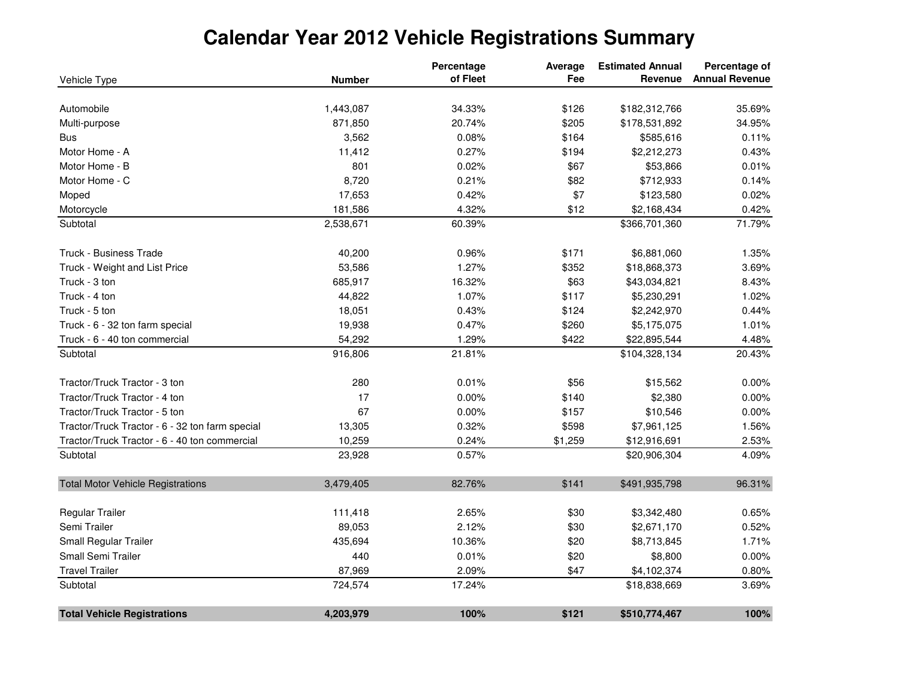## **Calendar Year 2012 Vehicle Registrations Summary**

|                                                 |               | Percentage | Average | <b>Estimated Annual</b> | Percentage of         |
|-------------------------------------------------|---------------|------------|---------|-------------------------|-----------------------|
| Vehicle Type                                    | <b>Number</b> | of Fleet   | Fee     | Revenue                 | <b>Annual Revenue</b> |
|                                                 |               |            |         |                         |                       |
| Automobile                                      | 1,443,087     | 34.33%     | \$126   | \$182,312,766           | 35.69%                |
| Multi-purpose                                   | 871,850       | 20.74%     | \$205   | \$178,531,892           | 34.95%                |
| <b>Bus</b>                                      | 3,562         | 0.08%      | \$164   | \$585,616               | 0.11%                 |
| Motor Home - A                                  | 11,412        | 0.27%      | \$194   | \$2,212,273             | 0.43%                 |
| Motor Home - B                                  | 801           | 0.02%      | \$67    | \$53,866                | 0.01%                 |
| Motor Home - C                                  | 8,720         | 0.21%      | \$82    | \$712,933               | 0.14%                 |
| Moped                                           | 17,653        | 0.42%      | \$7     | \$123,580               | 0.02%                 |
| Motorcycle                                      | 181,586       | 4.32%      | \$12    | \$2,168,434             | 0.42%                 |
| Subtotal                                        | 2,538,671     | 60.39%     |         | \$366,701,360           | 71.79%                |
| Truck - Business Trade                          | 40,200        | 0.96%      | \$171   | \$6,881,060             | 1.35%                 |
| Truck - Weight and List Price                   | 53,586        | 1.27%      | \$352   | \$18,868,373            | 3.69%                 |
| Truck - 3 ton                                   | 685,917       | 16.32%     | \$63    | \$43,034,821            | 8.43%                 |
| Truck - 4 ton                                   | 44,822        | 1.07%      | \$117   | \$5,230,291             | 1.02%                 |
| Truck - 5 ton                                   | 18,051        | 0.43%      | \$124   | \$2,242,970             | 0.44%                 |
| Truck - 6 - 32 ton farm special                 | 19,938        | 0.47%      | \$260   | \$5,175,075             | 1.01%                 |
| Truck - 6 - 40 ton commercial                   | 54,292        | 1.29%      | \$422   | \$22,895,544            | 4.48%                 |
| Subtotal                                        | 916,806       | 21.81%     |         | \$104,328,134           | 20.43%                |
| Tractor/Truck Tractor - 3 ton                   | 280           | 0.01%      | \$56    | \$15,562                | 0.00%                 |
| Tractor/Truck Tractor - 4 ton                   | 17            | 0.00%      | \$140   | \$2,380                 | 0.00%                 |
| Tractor/Truck Tractor - 5 ton                   | 67            | 0.00%      | \$157   | \$10,546                | 0.00%                 |
| Tractor/Truck Tractor - 6 - 32 ton farm special | 13,305        | 0.32%      | \$598   | \$7,961,125             | 1.56%                 |
| Tractor/Truck Tractor - 6 - 40 ton commercial   | 10,259        | 0.24%      | \$1,259 | \$12,916,691            | 2.53%                 |
| Subtotal                                        | 23,928        | 0.57%      |         | \$20,906,304            | 4.09%                 |
| <b>Total Motor Vehicle Registrations</b>        | 3,479,405     | 82.76%     | \$141   | \$491,935,798           | 96.31%                |
| Regular Trailer                                 | 111,418       | 2.65%      | \$30    | \$3,342,480             | 0.65%                 |
| Semi Trailer                                    | 89,053        | 2.12%      | \$30    | \$2,671,170             | 0.52%                 |
| Small Regular Trailer                           | 435,694       | 10.36%     | \$20    | \$8,713,845             | 1.71%                 |
| Small Semi Trailer                              | 440           |            |         |                         |                       |
|                                                 |               | 0.01%      | \$20    | \$8,800                 | 0.00%                 |
| <b>Travel Trailer</b>                           | 87,969        | 2.09%      | \$47    | \$4,102,374             | 0.80%                 |
| Subtotal                                        | 724,574       | 17.24%     |         | \$18,838,669            | 3.69%                 |
| <b>Total Vehicle Registrations</b>              | 4,203,979     | 100%       | \$121   | \$510,774,467           | 100%                  |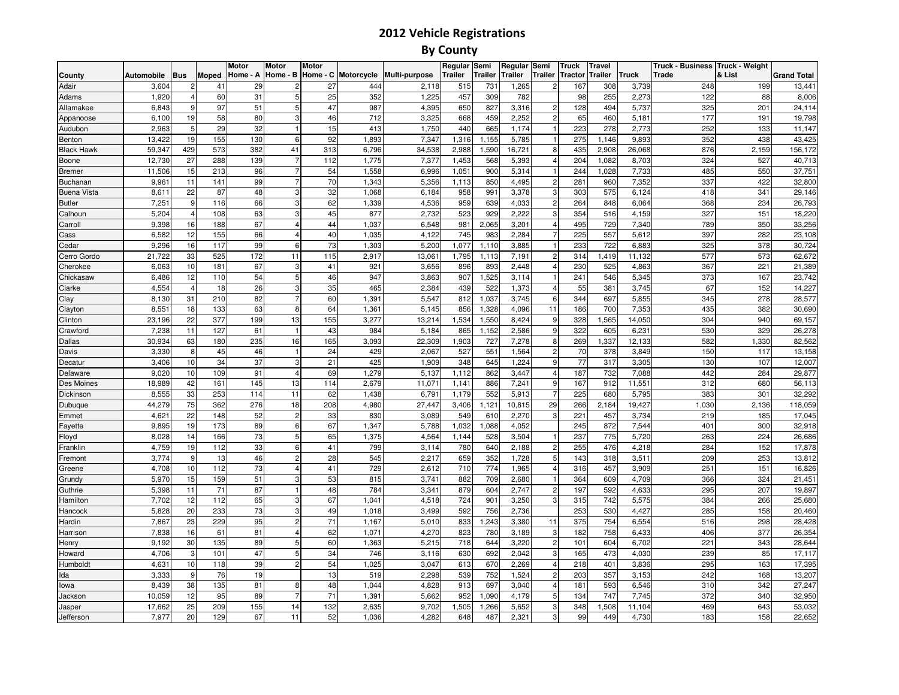## **2012 Vehicle RegistrationsBy County**

|                    |            |                |              | <b>Motor</b> | <b>Motor</b>   | <b>Motor</b> |                     |               | Regular Semi |                | Regular | Semi    | <b>Truck</b>   | <b>Travel</b> |        | Truck - Business Truck - Weight |        |             |
|--------------------|------------|----------------|--------------|--------------|----------------|--------------|---------------------|---------------|--------------|----------------|---------|---------|----------------|---------------|--------|---------------------------------|--------|-------------|
| County             | Automobile | <b>Bus</b>     | <b>Moped</b> | Home - A     | Home - B       |              | Home - C Motorcycle | Multi-purpose | Trailer      | <b>Frailer</b> | Trailer | Trailer | <b>Tractor</b> | Trailer       | Truck  | Trade                           | & List | Grand Total |
| Adair              | 3,604      | $\overline{c}$ | 41           | 29           | 2              | 27           | 444                 | 2,118         | 515          | 731            | 1,265   |         | 167            | 308           | 3,739  | 248                             | 199    | 13,441      |
| Adams              | 1,920      | 4              | 60           | 31           | 5              | 25           | 352                 | 1,225         | 457          | 309            | 782     |         | 98             | 255           | 2,273  | 122                             | 88     | 8,006       |
| Allamakee          | 6.843      | 9              | 97           | 51           | 5              | 47           | 987                 | 4,395         | 650          | 827            | 3,316   |         | 128            | 494           | 5.737  | 325                             | 201    | 24,114      |
| Appanoose          | 6,100      | 19             | 58           | 80           | 3              | 46           | 712                 | 3,325         | 668          | 459            | 2,252   |         | 65             | 460           | 5,181  | 177                             | 191    | 19,798      |
| Audubon            | 2,963      | 5              | 29           | 32           |                | 15           | 413                 | 1,750         | 440          | 665            | 1,174   |         | 223            | 278           | 2,773  | 252                             | 133    | 11,147      |
| Benton             | 13,422     | 19             | 155          | 130          | 6              | 92           | 1,893               | 7,347         | 1,316        | 1,155          | 5,785   |         | 275            | 1,146         | 9,893  | 352                             | 438    | 43,425      |
| <b>Black Hawk</b>  | 59,347     | 429            | 573          | 382          | 41             | 313          | 6,796               | 34,538        | 2,988        | 1,590          | 16,721  | 8       | 435            | 2,908         | 26,068 | 876                             | 2,159  | 156,172     |
| Boone              | 12,730     | 27             | 288          | 139          |                | 112          | 1,775               | 7,377         | 1,453        | 568            | 5,393   |         | 204            | 1,082         | 8,703  | 324                             | 527    | 40,713      |
| <b>Bremer</b>      | 11,506     | 15             | 213          | 96           |                | 54           | 1,558               | 6,996         | 1,051        | 900            | 5,314   |         | 244            | 1,028         | 7,733  | 485                             | 550    | 37,751      |
| Buchanan           | 9,961      | 11             | 141          | 99           |                | 70           | 1,343               | 5,356         | 1,113        | 850            | 4,495   |         | 281            | 960           | 7,352  | 337                             | 422    | 32,800      |
| <b>Buena Vista</b> | 8,61       | 22             | 87           | 48           | -3             | 32           | 1,068               | 6,184         | 958          | 991            | 3,378   | з       | 303            | 575           | 6,124  | 418                             | 341    | 29,146      |
| <b>Butler</b>      | 7,251      | 9              | 116          | 66           | 3              | 62           | 1,339               | 4,536         | 959          | 639            | 4,033   | 2       | 264            | 848           | 6,064  | 368                             | 234    | 26,793      |
| Calhoun            | 5,204      | $\overline{4}$ | 108          | 63           |                | 45           | 877                 | 2,732         | 523          | 929            | 2,222   |         | 354            | 516           | 4,159  | 327                             | 151    | 18,220      |
| Carroll            | 9,398      | 16             | 188          | 67           |                | 44           | 1.037               | 6,548         | 981          | 2,065          | 3,201   |         | 495            | 729           | 7,340  | 789                             | 350    | 33,256      |
| Cass               | 6,582      | 12             | 155          | 66           | $\Delta$       | 40           | 1,035               | 4,122         | 745          | 983            | 2,284   |         | 225            | 557           | 5,612  | 397                             | 282    | 23,108      |
| Cedar              | 9,296      | 16             | 117          | 99           | 6              | 73           | 1,303               | 5,200         | 1,077        | 1,110          | 3,885   |         | 233            | 722           | 6,883  | 325                             | 378    | 30,724      |
| Cerro Gordo        | 21,722     | 33             | 525          | 172          | 11             | 115          | 2,917               | 13,061        | 1,795        | 1,113          | 7,191   | 2       | 314            | 1,419         | 11,132 | 577                             | 573    | 62,672      |
| Cherokee           | 6,063      | 10             | 181          | 67           | 3              | 41           | 921                 | 3,656         | 896          | 893            | 2,448   |         | 230            | 525           | 4,863  | 367                             | 221    | 21,389      |
| Chickasaw          | 6,486      | 12             | 110          | 54           | 5              | 46           | 947                 | 3,863         | 907          | 1,525          | 3,114   |         | 241            | 546           | 5,345  | 373                             | 167    | 23,742      |
| Clarke             | 4,554      | $\overline{4}$ | 18           | 26           | 3              | 35           | 465                 | 2,384         | 439          | 522            | 1,373   |         | 55             | 381           | 3,745  | 67                              | 152    | 14,227      |
| Clay               | 8,130      | 31             | 210          | 82           | 7              | 60           | 1,391               | 5,547         | 812          | 1,037          | 3,745   | 6       | 344            | 697           | 5,855  | 345                             | 278    | 28,577      |
| Clayton            | 8,551      | 18             | 133          | 63           | 8              | 64           | 1,361               | 5,145         | 856          | 1,328          | 4,096   | 11      | 186            | 700           | 7,353  | 435                             | 382    | 30,690      |
| Clinton            | 23,196     | 22             | 377          | 199          | 13             | 155          | 3,277               | 13,214        | 1,534        | 1,550          | 8,424   | 9       | 328            | 1,565         | 14,050 | 304                             | 940    | 69,157      |
| Crawford           | 7,238      | 11             | 127          | 61           |                | 43           | 984                 | 5,184         | 865          | 1,152          | 2,586   |         | 322            | 605           | 6,231  | 530                             | 329    | 26,278      |
| <b>Dallas</b>      | 30,934     | 63             | 180          | 235          | 16             | 165          | 3,093               | 22,309        | 1,903        | 727            | 7,278   |         | 269            | 1,337         | 12,133 | 582                             | 1,330  | 82,562      |
| Davis              | 3,330      | 8              | 45           | 46           |                | 24           | 429                 | 2,06          | 527          | 551            | 1,564   | 2       | 70             | 378           | 3,849  | 150                             | 117    | 13,158      |
| Decatur            | 3,406      | 10             | 34           | 37           | -3             | 21           | 425                 | 1,909         | 348          | 645            | 1,224   | 9       | 77             | 317           | 3,305  | 130                             | 107    | 12,007      |
| Delaware           | 9,020      | 10             | 109          | 91           | $\overline{4}$ | 69           | 1,279               | 5,13          | 1,112        | 862            | 3,447   | 4       | 187            | 732           | 7,088  | 442                             | 284    | 29,877      |
| Des Moines         | 18,989     | 42             | 161          | 145          | 13             | 114          | 2,679               | 11,07         | 1,141        | 886            | 7,241   |         | 167            | 912           | 11,551 | 312                             | 680    | 56,113      |
| Dickinson          | 8,555      | 33             | 253          | 114          | 11             | 62           | 1,438               | 6,79          | 1.179        | 552            | 5,913   |         | 225            | 680           | 5,795  | 383                             | 301    | 32,292      |
| Dubuque            | 44,279     | 75             | 362          | 276          | 18             | 208          | 4,980               | 27,447        | 3,406        | 1,121          | 10,815  | 29      | 266            | 2,184         | 19,427 | 1,030                           | 2,136  | 118,059     |
| Emmet              | 4,621      | 22             | 148          | 52           | 2              | 33           | 830                 | 3,089         | 549          | 610            | 2,270   | з       | 221            | 457           | 3,734  | 219                             | 185    | 17,045      |
| Fayette            | 9,895      | 19             | 173          | 89           | 6              | 67           | 1,347               | 5,788         | 1,032        | 1,088          | 4,052   |         | 245            | 872           | 7,544  | 401                             | 300    | 32,918      |
| Floyd              | 8,028      | 14             | 166          | 73           | 5              | 65           | 1,375               | 4,564         | 1,144        | 528            | 3,504   |         | 237            | 775           | 5,720  | 263                             | 224    | 26,686      |
| Franklin           | 4,759      | 19             | 112          | 33           | 6              | 41           | 799                 | 3,114         | 780          | 640            | 2,188   |         | 255            | 476           | 4,218  | 284                             | 152    | 17,878      |
| Fremont            | 3,774      | 9              | 13           | 46           | $\overline{c}$ | 28           | 545                 | 2,217         | 659          | 352            | 1,728   |         | 143            | 318           | 3,51   | 209                             | 253    | 13,812      |
| Greene             | 4,708      | 10             | 112          | 73           |                | 41           | 729                 | 2,612         | 710          | 774            | 1,965   |         | 316            | 457           | 3,909  | 251                             | 151    | 16,826      |
| Grundy             | 5,970      | 15             | 159          | 51           | 3              | 53           | 815                 | 3,74          | 882          | 709            | 2,680   |         | 364            | 609           | 4,709  | 366                             | 324    | 21,45       |
| Guthrie            | 5,398      | 11             | 71           | 87           |                | 48           | 784                 | 3,341         | 879          | 604            | 2,747   | 2       | 197            | 592           | 4,633  | 295                             | 207    | 19,897      |
| Hamilton           | 7,702      | 12             | 112          | 65           | 3              | 67           | 1,041               | 4,518         | 724          | 901            | 3,250   |         | 315            | 742           | 5,575  | 384                             | 266    | 25,680      |
| Hancock            | 5,828      | 20             | 233          | 73           | 3              | 49           | 1.018               | 3,499         | 592          | 756            | 2,736   |         | 253            | 530           | 4.427  | 285                             | 158    | 20,460      |
| Hardin             | 7,867      | 23             | 229          | 95           | $\overline{2}$ | 71           | 1,167               | 5,010         | 833          | 1,243          | 3,380   | 11      | 375            | 754           | 6,554  | 516                             | 298    | 28,428      |
| Harrison           | 7,838      | 16             | 61           | 81           | $\overline{4}$ | 62           | 1,071               | 4,270         | 823          | 780            | 3,189   | 3       | 182            | 758           | 6,433  | 406                             | 377    | 26,354      |
| Henry              | 9,192      | 30             | 135          | 89           | 5              | 60           | 1,363               | 5,215         | 718          | 644            | 3,220   | 2       | 101            | 604           | 6,702  | 221                             | 343    | 28,644      |
| Howard             | 4,706      | 3              | 101          | 47           | 5              | 34           | 746                 | 3,116         | 630          | 692            | 2,042   |         | 165            | 473           | 4,030  | 239                             | 85     | 17,117      |
| Humboldt           | 4,631      | 10             | 118          | 39           | 2              | 54           | 1.025               | 3,047         | 613          | 670            | 2.269   |         | 218            | 401           | 3.836  | 295                             | 163    | 17,395      |
| Ida                | 3,333      | 9              | 76           | 19           |                | 13           | 519                 | 2,298         | 539          | 752            | 1,524   |         | 203            | 357           | 3,153  | 242                             | 168    | 13,207      |
| lowa               | 8,439      | 38             | 135          | 81           | 8              | 48           | 1,044               | 4,828         | 913          | 697            | 3,040   |         | 181            | 593           | 6,546  | 310                             | 342    | 27,247      |
| Jackson            | 10,059     | 12             | 95           | 89           |                | 71           | 1,391               | 5,662         | 952          | 1,090          | 4,179   |         | 134            | 747           | 7,745  | 372                             | 340    | 32,950      |
| Jasper             | 17,662     | 25             | 209          | 155          | 14             | 132          | 2,635               | 9,702         | 1,505        | 1,266          | 5,652   |         | 348            | 1,508         | 11,104 | 469                             | 643    | 53,032      |
| Jefferson          | 7,977      | 20             | 129          | 67           | 11             | 52           | 1,036               | 4,282         | 648          | 487            | 2,321   |         | 99             | 449           | 4,730  | 183                             | 158    | 22,652      |